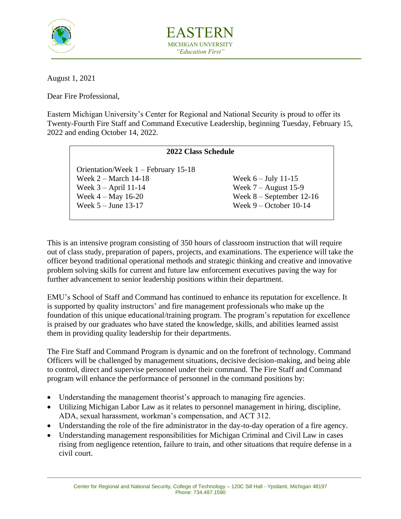

EASTERN MICHIGAN UNVERSITY *"Education First"*

August 1, 2021

Dear Fire Professional,

Eastern Michigan University's Center for Regional and National Security is proud to offer its Twenty-Fourth Fire Staff and Command Executive Leadership, beginning Tuesday, February 15, 2022 and ending October 14, 2022.

| 2022 Class Schedule                   |                            |
|---------------------------------------|----------------------------|
| Orientation/Week $1 -$ February 15-18 |                            |
| Week $2 - \text{March } 14 - 18$      | Week $6 -$ July 11-15      |
| Week $3 -$ April 11-14                | Week $7 -$ August 15-9     |
| Week $4 - May 16-20$                  | Week $8 - September 12-16$ |
| Week $5 -$ June 13-17                 | Week $9 - October 10-14$   |
|                                       |                            |

This is an intensive program consisting of 350 hours of classroom instruction that will require out of class study, preparation of papers, projects, and examinations. The experience will take the officer beyond traditional operational methods and strategic thinking and creative and innovative problem solving skills for current and future law enforcement executives paving the way for further advancement to senior leadership positions within their department.

EMU's School of Staff and Command has continued to enhance its reputation for excellence. It is supported by quality instructors' and fire management professionals who make up the foundation of this unique educational/training program. The program's reputation for excellence is praised by our graduates who have stated the knowledge, skills, and abilities learned assist them in providing quality leadership for their departments.

The Fire Staff and Command Program is dynamic and on the forefront of technology. Command Officers will be challenged by management situations, decisive decision-making, and being able to control, direct and supervise personnel under their command. The Fire Staff and Command program will enhance the performance of personnel in the command positions by:

- Understanding the management theorist's approach to managing fire agencies.
- Utilizing Michigan Labor Law as it relates to personnel management in hiring, discipline, ADA, sexual harassment, workman's compensation, and ACT 312.
- Understanding the role of the fire administrator in the day-to-day operation of a fire agency.
- Understanding management responsibilities for Michigan Criminal and Civil Law in cases rising from negligence retention, failure to train, and other situations that require defense in a civil court.